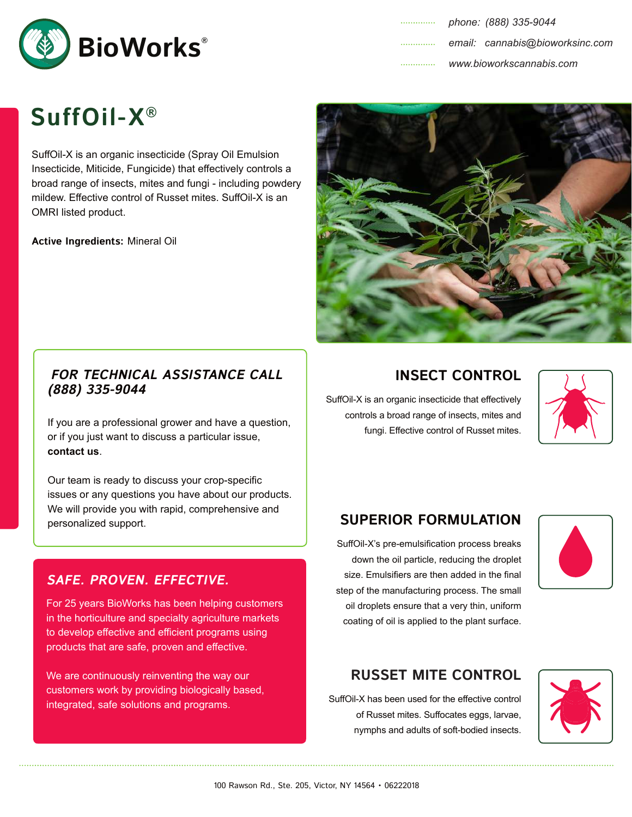

# **SuffOil-X®**

SuffOil-X is an organic insecticide (Spray Oil Emulsion Insecticide, Miticide, Fungicide) that effectively controls a broad range of insects, mites and fungi - including powdery mildew. Effective control of Russet mites. SuffOil-X is an OMRI listed product.

**Active Ingredients:** Mineral Oil



If you are a professional grower and have a question, or if you just want to discuss a particular issue, **contact us**.

Our team is ready to discuss your crop-specific issues or any questions you have about our products. We will provide you with rapid, comprehensive and personalized support.

## **SAFE. PROVEN. EFFECTIVE.**

For 25 years BioWorks has been helping customers in the horticulture and specialty agriculture markets to develop effective and efficient programs using products that are safe, proven and effective.

We are continuously reinventing the way our customers work by providing biologically based, integrated, safe solutions and programs.



## **INSECT CONTROL**

SuffOil-X is an organic insecticide that effectively controls a broad range of insects, mites and fungi. Effective control of Russet mites.



## **SUPERIOR FORMULATION**

SuffOil-X's pre-emulsification process breaks down the oil particle, reducing the droplet size. Emulsifiers are then added in the final step of the manufacturing process. The small oil droplets ensure that a very thin, uniform coating of oil is applied to the plant surface.



## **RUSSET MITE CONTROL**

SuffOil-X has been used for the effective control of Russet mites. Suffocates eggs, larvae, nymphs and adults of soft-bodied insects.